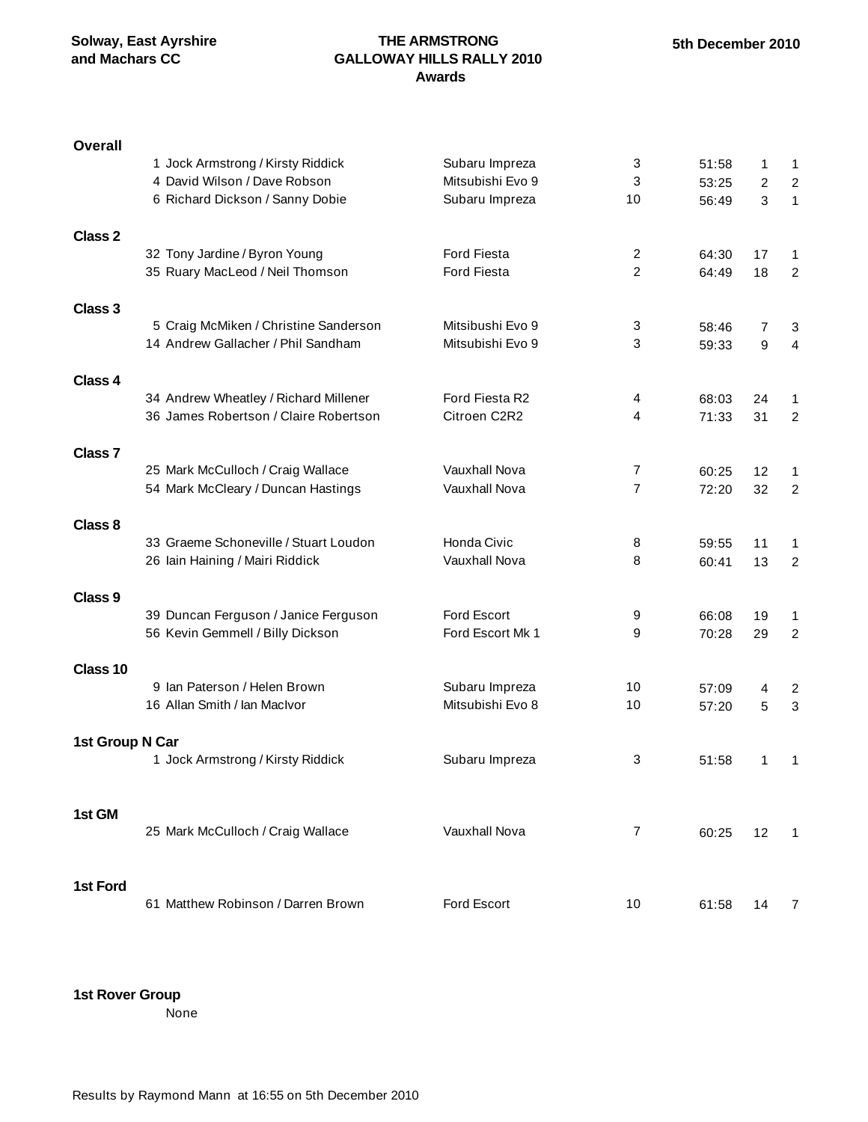### **THE ARMSTRONG GALLOWAY HILLS RALLY 2010 Awards**

| <b>Overall</b>     | 1 Jock Armstrong / Kirsty Riddick     | Subaru Impreza     | 3              | 51:58          | 1              | $\mathbf{1}$            |
|--------------------|---------------------------------------|--------------------|----------------|----------------|----------------|-------------------------|
|                    | 4 David Wilson / Dave Robson          | Mitsubishi Evo 9   | 3              | 53:25          | $\overline{c}$ | $\overline{c}$          |
|                    | 6 Richard Dickson / Sanny Dobie       | Subaru Impreza     | 10             | 56:49          | 3              | $\mathbf{1}$            |
|                    |                                       |                    |                |                |                |                         |
| Class <sub>2</sub> | 32 Tony Jardine / Byron Young         | <b>Ford Fiesta</b> | 2              | 64:30          | 17             |                         |
|                    | 35 Ruary MacLeod / Neil Thomson       | <b>Ford Fiesta</b> | $\overline{2}$ | 64:49          | 18             | 1<br>$\overline{c}$     |
|                    |                                       |                    |                |                |                |                         |
| Class 3            |                                       |                    |                |                |                |                         |
|                    | 5 Craig McMiken / Christine Sanderson | Mitsibushi Evo 9   | 3              | 58:46          | 7              | 3                       |
|                    | 14 Andrew Gallacher / Phil Sandham    | Mitsubishi Evo 9   | 3              | 59:33          | 9              | 4                       |
| Class 4            |                                       |                    |                |                |                |                         |
|                    | 34 Andrew Wheatley / Richard Millener | Ford Fiesta R2     | 4              | 68:03          | 24             | 1                       |
|                    | 36 James Robertson / Claire Robertson | Citroen C2R2       | 4              | 71:33          | 31             | $\overline{2}$          |
|                    |                                       |                    |                |                |                |                         |
| Class <sub>7</sub> | 25 Mark McCulloch / Craig Wallace     | Vauxhall Nova      | 7              |                |                |                         |
|                    | 54 Mark McCleary / Duncan Hastings    | Vauxhall Nova      | $\overline{7}$ | 60:25<br>72:20 | 12<br>32       | 1<br>$\overline{c}$     |
|                    |                                       |                    |                |                |                |                         |
| Class 8            |                                       |                    |                |                |                |                         |
|                    | 33 Graeme Schoneville / Stuart Loudon | Honda Civic        | 8              | 59:55          | 11             | 1                       |
|                    | 26 Iain Haining / Mairi Riddick       | Vauxhall Nova      | 8              | 60:41          | 13             | $\overline{c}$          |
| Class <sub>9</sub> |                                       |                    |                |                |                |                         |
|                    | 39 Duncan Ferguson / Janice Ferguson  | Ford Escort        | 9              | 66:08          | 19             | 1                       |
|                    | 56 Kevin Gemmell / Billy Dickson      | Ford Escort Mk 1   | 9              | 70:28          | 29             | $\overline{2}$          |
|                    |                                       |                    |                |                |                |                         |
| Class 10           |                                       |                    |                |                |                |                         |
|                    | 9 Ian Paterson / Helen Brown          | Subaru Impreza     | 10             | 57:09          | 4              | $\overline{\mathbf{c}}$ |
|                    | 16 Allan Smith / Ian MacIvor          | Mitsubishi Evo 8   | 10             | 57:20          | 5              | 3                       |
| 1st Group N Car    |                                       |                    |                |                |                |                         |
|                    | 1 Jock Armstrong / Kirsty Riddick     | Subaru Impreza     | 3              | 51:58          | 1              | 1                       |
|                    |                                       |                    |                |                |                |                         |
|                    |                                       |                    |                |                |                |                         |
| 1st GM             | 25 Mark McCulloch / Craig Wallace     | Vauxhall Nova      | 7              | 60:25          | 12             | 1                       |
|                    |                                       |                    |                |                |                |                         |
|                    |                                       |                    |                |                |                |                         |
| 1st Ford           |                                       |                    |                |                |                |                         |
|                    | 61 Matthew Robinson / Darren Brown    | Ford Escort        | 10             | 61:58          | 14             | 7                       |

**1st Rover Group**

None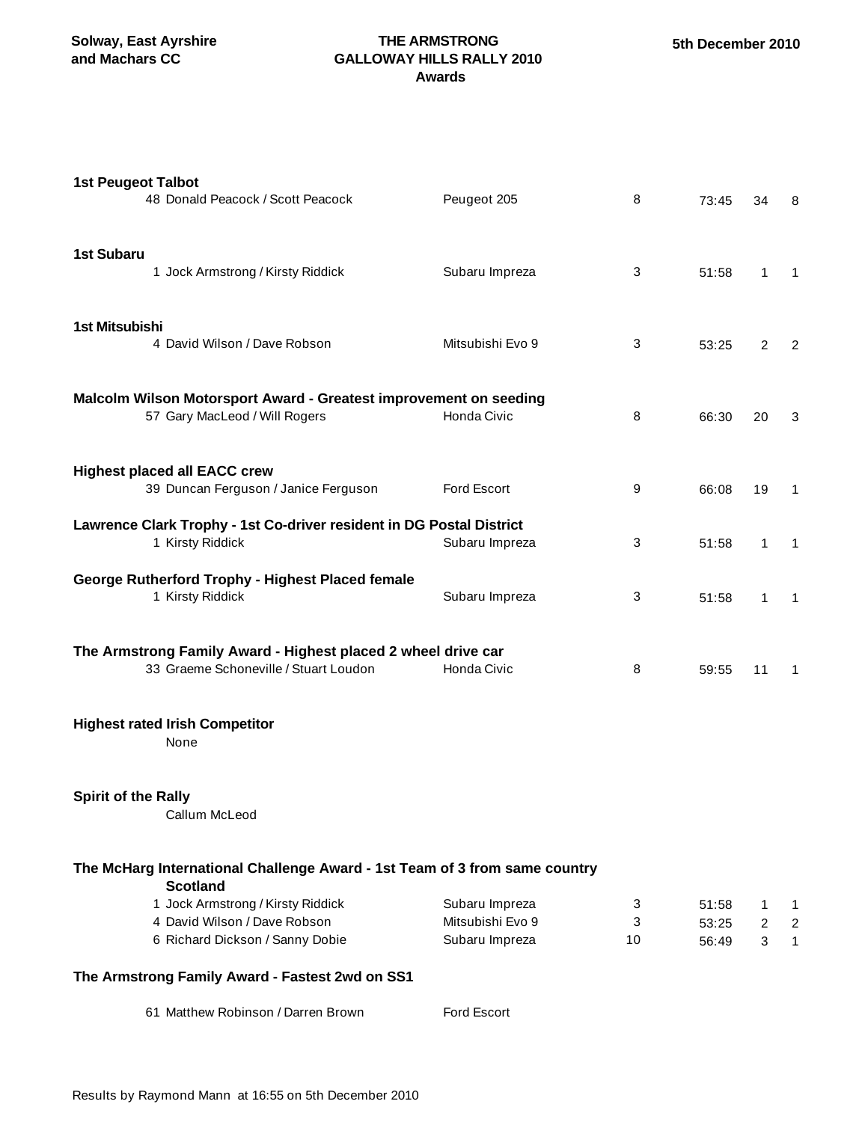**Solway, East Ayrshire and Machars CC**

### **THE ARMSTRONG GALLOWAY HILLS RALLY 2010 Awards**

| <b>1st Peugeot Talbot</b><br>48 Donald Peacock / Scott Peacock                                         | Peugeot 205      | 8  | 73:45 | 34             | 8              |  |  |  |  |
|--------------------------------------------------------------------------------------------------------|------------------|----|-------|----------------|----------------|--|--|--|--|
| <b>1st Subaru</b><br>1 Jock Armstrong / Kirsty Riddick                                                 | Subaru Impreza   | 3  | 51:58 | $\mathbf{1}$   | $\mathbf{1}$   |  |  |  |  |
| 1st Mitsubishi<br>4 David Wilson / Dave Robson                                                         | Mitsubishi Evo 9 | 3  | 53:25 | $\overline{2}$ | $\overline{2}$ |  |  |  |  |
| Malcolm Wilson Motorsport Award - Greatest improvement on seeding<br>57 Gary MacLeod / Will Rogers     | Honda Civic      | 8  | 66:30 | 20             | 3              |  |  |  |  |
| <b>Highest placed all EACC crew</b><br>39 Duncan Ferguson / Janice Ferguson                            | Ford Escort      | 9  | 66:08 | 19             | $\mathbf{1}$   |  |  |  |  |
| Lawrence Clark Trophy - 1st Co-driver resident in DG Postal District<br>1 Kirsty Riddick               | Subaru Impreza   | 3  | 51:58 | $\mathbf{1}$   | $\mathbf{1}$   |  |  |  |  |
| George Rutherford Trophy - Highest Placed female<br>1 Kirsty Riddick                                   | Subaru Impreza   | 3  | 51:58 | 1              | $\mathbf{1}$   |  |  |  |  |
| The Armstrong Family Award - Highest placed 2 wheel drive car<br>33 Graeme Schoneville / Stuart Loudon | Honda Civic      | 8  | 59:55 | 11             | $\mathbf{1}$   |  |  |  |  |
| <b>Highest rated Irish Competitor</b><br>None                                                          |                  |    |       |                |                |  |  |  |  |
| <b>Spirit of the Rally</b><br>Callum McLeod                                                            |                  |    |       |                |                |  |  |  |  |
| The McHarg International Challenge Award - 1st Team of 3 from same country<br><b>Scotland</b>          |                  |    |       |                |                |  |  |  |  |
| 1 Jock Armstrong / Kirsty Riddick                                                                      | Subaru Impreza   | 3  | 51:58 | 1              | $\mathbf{1}$   |  |  |  |  |
| 4 David Wilson / Dave Robson                                                                           | Mitsubishi Evo 9 | 3  | 53:25 | 2              | $\overline{2}$ |  |  |  |  |
| 6 Richard Dickson / Sanny Dobie                                                                        | Subaru Impreza   | 10 | 56:49 | 3              | $\mathbf{1}$   |  |  |  |  |
| The Armstrong Family Award - Fastest 2wd on SS1                                                        |                  |    |       |                |                |  |  |  |  |
| 61 Matthew Robinson / Darren Brown                                                                     | Ford Escort      |    |       |                |                |  |  |  |  |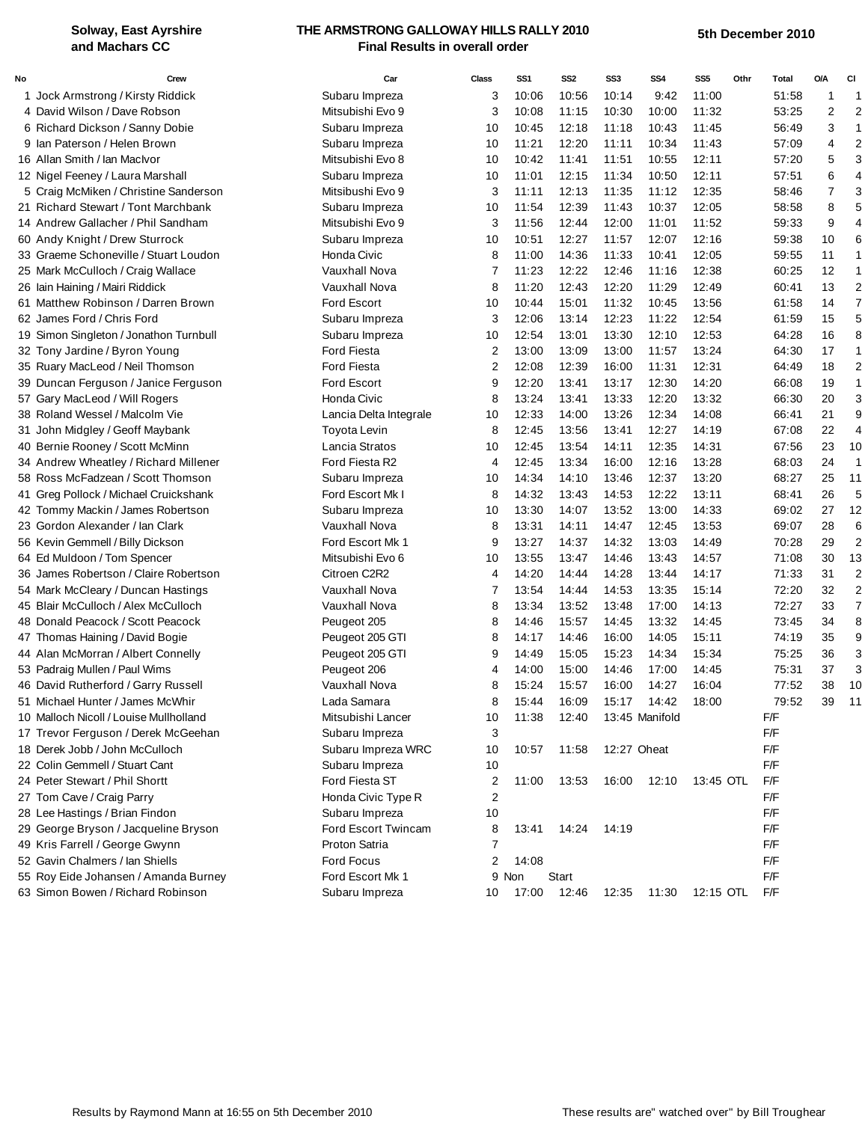#### **Solway, East Ayrshire and Machars CC**

#### **THE ARMSTRONG GALLOWAY HILLS RALLY 2010 Final Results in overall order**

| No | Crew                                   | Car                    | <b>Class</b>   | SS <sub>1</sub> | SS <sub>2</sub> | SS3         | SS <sub>4</sub> | SS <sub>5</sub> | Othr | <b>Total</b> | O/A            | CI             |
|----|----------------------------------------|------------------------|----------------|-----------------|-----------------|-------------|-----------------|-----------------|------|--------------|----------------|----------------|
|    | 1 Jock Armstrong / Kirsty Riddick      | Subaru Impreza         | 3              | 10:06           | 10:56           | 10:14       | 9:42            | 11:00           |      | 51:58        |                | 1              |
|    | 4 David Wilson / Dave Robson           | Mitsubishi Evo 9       | 3              | 10:08           | 11:15           | 10:30       | 10:00           | 11:32           |      | 53:25        | 2              | 2              |
|    | 6 Richard Dickson / Sanny Dobie        | Subaru Impreza         | 10             | 10:45           | 12:18           | 11:18       | 10:43           | 11:45           |      | 56:49        | 3              | 1              |
|    | 9 Ian Paterson / Helen Brown           | Subaru Impreza         | 10             | 11:21           | 12:20           | 11:11       | 10:34           | 11:43           |      | 57:09        | 4              | 2              |
|    | 16 Allan Smith / lan Maclvor           | Mitsubishi Evo 8       | 10             | 10:42           | 11:41           | 11:51       | 10:55           | 12:11           |      | 57:20        | 5              | 3              |
|    | 12 Nigel Feeney / Laura Marshall       | Subaru Impreza         | 10             | 11:01           | 12:15           | 11:34       | 10:50           | 12:11           |      | 57:51        | 6              | 4              |
|    | 5 Craig McMiken / Christine Sanderson  | Mitsibushi Evo 9       | 3              | 11:11           | 12:13           | 11:35       | 11:12           | 12:35           |      | 58:46        | $\overline{7}$ | 3              |
|    | 21 Richard Stewart / Tont Marchbank    | Subaru Impreza         | 10             | 11:54           | 12:39           | 11:43       | 10:37           | 12:05           |      | 58:58        | 8              | 5              |
|    | 14 Andrew Gallacher / Phil Sandham     | Mitsubishi Evo 9       | 3              | 11:56           | 12:44           | 12:00       | 11:01           | 11:52           |      | 59:33        | 9              | 4              |
|    | 60 Andy Knight / Drew Sturrock         | Subaru Impreza         | 10             | 10:51           | 12:27           | 11:57       | 12:07           | 12:16           |      | 59:38        | 10             | 6              |
|    | 33 Graeme Schoneville / Stuart Loudon  | Honda Civic            | 8              | 11:00           | 14:36           | 11:33       | 10:41           | 12:05           |      | 59:55        | 11             |                |
|    | 25 Mark McCulloch / Craig Wallace      | Vauxhall Nova          | 7              | 11:23           | 12:22           | 12:46       | 11:16           | 12:38           |      | 60:25        | 12             |                |
|    | 26 Iain Haining / Mairi Riddick        | Vauxhall Nova          | 8              | 11:20           | 12:43           | 12:20       | 11:29           | 12:49           |      | 60:41        | 13             | $\overline{2}$ |
|    | 61 Matthew Robinson / Darren Brown     | <b>Ford Escort</b>     | 10             | 10:44           | 15:01           | 11:32       | 10:45           | 13:56           |      | 61:58        | 14             | 7              |
|    | 62 James Ford / Chris Ford             | Subaru Impreza         | 3              | 12:06           | 13:14           | 12:23       | 11:22           | 12:54           |      | 61:59        | 15             | 5              |
|    | 19 Simon Singleton / Jonathon Turnbull | Subaru Impreza         | 10             | 12:54           | 13:01           | 13:30       | 12:10           | 12:53           |      | 64:28        | 16             | 8              |
|    | 32 Tony Jardine / Byron Young          | <b>Ford Fiesta</b>     | 2              | 13:00           | 13:09           | 13:00       | 11:57           | 13:24           |      | 64:30        | 17             | 1              |
|    | 35 Ruary MacLeod / Neil Thomson        | <b>Ford Fiesta</b>     | 2              | 12:08           | 12:39           | 16:00       | 11:31           | 12:31           |      | 64:49        | 18             | 2              |
|    | 39 Duncan Ferguson / Janice Ferguson   | <b>Ford Escort</b>     | 9              | 12:20           | 13:41           | 13:17       | 12:30           | 14:20           |      | 66:08        | 19             | 1              |
|    | 57 Gary MacLeod / Will Rogers          | Honda Civic            | 8              | 13:24           | 13:41           | 13:33       | 12:20           | 13:32           |      | 66:30        | 20             | 3              |
|    | 38 Roland Wessel / Malcolm Vie         | Lancia Delta Integrale | 10             | 12:33           | 14:00           | 13:26       | 12:34           | 14:08           |      | 66:41        | 21             | 9              |
|    | 31 John Midgley / Geoff Maybank        | <b>Toyota Levin</b>    | 8              | 12:45           | 13:56           | 13:41       | 12:27           | 14:19           |      | 67:08        | 22             | 4              |
|    | 40 Bernie Rooney / Scott McMinn        | Lancia Stratos         | 10             | 12:45           | 13:54           | 14:11       | 12:35           | 14:31           |      | 67:56        | 23             | 10             |
|    | 34 Andrew Wheatley / Richard Millener  | Ford Fiesta R2         | 4              | 12:45           | 13:34           | 16:00       | 12:16           | 13:28           |      | 68:03        | 24             | 1              |
|    | 58 Ross McFadzean / Scott Thomson      | Subaru Impreza         | 10             | 14:34           | 14:10           | 13:46       | 12:37           | 13:20           |      | 68:27        | 25             | 11             |
|    | 41 Greg Pollock / Michael Cruickshank  | Ford Escort Mk I       | 8              | 14:32           | 13:43           | 14:53       | 12:22           | 13:11           |      | 68:41        | 26             | 5              |
|    | 42 Tommy Mackin / James Robertson      | Subaru Impreza         | 10             | 13:30           | 14:07           | 13:52       | 13:00           | 14:33           |      | 69:02        | 27             | 12             |
|    | 23 Gordon Alexander / Ian Clark        | Vauxhall Nova          | 8              | 13:31           | 14:11           | 14:47       | 12:45           | 13:53           |      | 69:07        | 28             | 6              |
|    | 56 Kevin Gemmell / Billy Dickson       | Ford Escort Mk 1       | 9              | 13:27           | 14:37           | 14:32       | 13:03           | 14:49           |      | 70:28        | 29             | $\overline{2}$ |
|    | 64 Ed Muldoon / Tom Spencer            | Mitsubishi Evo 6       | 10             | 13:55           | 13:47           | 14:46       | 13:43           | 14:57           |      | 71:08        | 30             | 13             |
|    | 36 James Robertson / Claire Robertson  | Citroen C2R2           | 4              | 14:20           | 14:44           | 14:28       | 13:44           | 14:17           |      | 71:33        | 31             | $\overline{c}$ |
|    | 54 Mark McCleary / Duncan Hastings     | Vauxhall Nova          | 7              | 13:54           | 14:44           | 14:53       | 13:35           | 15:14           |      | 72:20        | 32             | 2              |
|    | 45 Blair McCulloch / Alex McCulloch    | Vauxhall Nova          | 8              | 13:34           | 13:52           | 13:48       | 17:00           | 14:13           |      | 72:27        | 33             | 7              |
|    | 48 Donald Peacock / Scott Peacock      | Peugeot 205            | 8              | 14:46           | 15:57           | 14:45       | 13:32           | 14:45           |      | 73:45        | 34             | 8              |
|    | 47 Thomas Haining / David Bogie        | Peugeot 205 GTI        | 8              | 14:17           | 14:46           | 16:00       | 14:05           | 15:11           |      | 74:19        | 35             | 9              |
|    | 44 Alan McMorran / Albert Connelly     | Peugeot 205 GTI        | 9              | 14:49           | 15:05           | 15:23       | 14:34           | 15:34           |      | 75:25        | 36             | 3              |
|    | 53 Padraig Mullen / Paul Wims          | Peugeot 206            | 4              | 14:00           | 15:00           | 14:46       | 17:00           | 14:45           |      | 75:31        | 37             | 3              |
|    | 46 David Rutherford / Garry Russell    | Vauxhall Nova          | 8              | 15:24           | 15:57           | 16:00       | 14:27           | 16:04           |      | 77:52        | 38             | 10             |
|    | 51 Michael Hunter / James McWhir       | Lada Samara            | 8              | 15:44           | 16:09           | 15:17       | 14:42           | 18:00           |      | 79:52        | 39             | 11             |
|    | 10 Malloch Nicoll / Louise Mullholland | Mitsubishi Lancer      | 10             | 11:38           | 12:40           |             | 13:45 Manifold  |                 |      | F/F          |                |                |
|    | 17 Trevor Ferguson / Derek McGeehan    | Subaru Impreza         | 3              |                 |                 |             |                 |                 |      | F/F          |                |                |
|    | 18 Derek Jobb / John McCulloch         | Subaru Impreza WRC     | 10             | 10:57           | 11:58           | 12:27 Oheat |                 |                 |      | F/F          |                |                |
|    | 22 Colin Gemmell / Stuart Cant         | Subaru Impreza         | 10             |                 |                 |             |                 |                 |      | F/F          |                |                |
|    | 24 Peter Stewart / Phil Shortt         | Ford Fiesta ST         | 2              | 11:00           | 13:53           | 16:00       | 12:10           | 13:45 OTL       |      | F/F          |                |                |
|    | 27 Tom Cave / Craig Parry              | Honda Civic Type R     | $\overline{2}$ |                 |                 |             |                 |                 |      | F/F          |                |                |
|    | 28 Lee Hastings / Brian Findon         | Subaru Impreza         | 10             |                 |                 |             |                 |                 |      | F/F          |                |                |
|    | 29 George Bryson / Jacqueline Bryson   | Ford Escort Twincam    | 8              | 13:41           | 14:24           | 14:19       |                 |                 |      | F/F          |                |                |
|    | 49 Kris Farrell / George Gwynn         | Proton Satria          | 7              |                 |                 |             |                 |                 |      | F/F          |                |                |
|    | 52 Gavin Chalmers / Ian Shiells        | Ford Focus             | 2              | 14:08           |                 |             |                 |                 |      | F/F          |                |                |
|    | 55 Roy Eide Johansen / Amanda Burney   | Ford Escort Mk 1       |                | 9 Non           | Start           |             |                 |                 |      | F/F          |                |                |
|    | 63 Simon Bowen / Richard Robinson      | Subaru Impreza         | 10             | 17:00           | 12:46           | 12:35       | 11:30           | 12:15 OTL       |      | F/F          |                |                |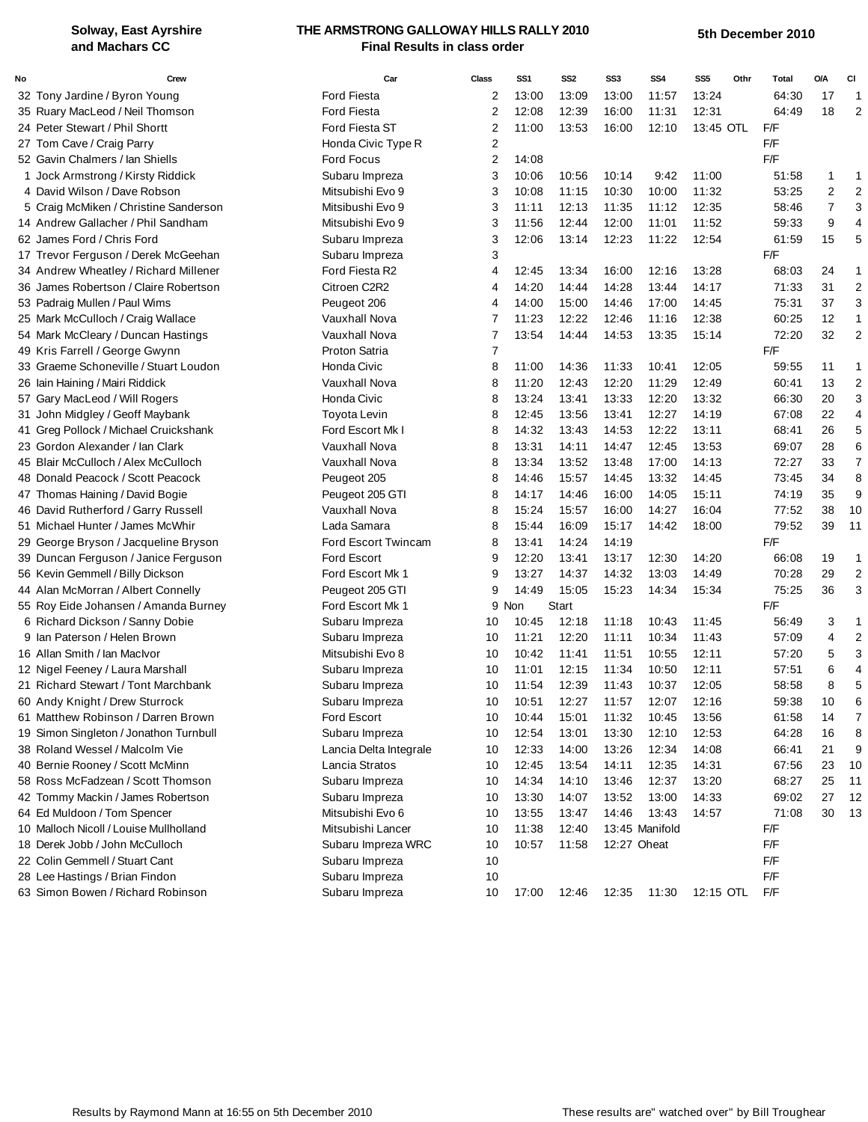#### **Solway, East Ayrshire and Machars CC**

#### **THE ARMSTRONG GALLOWAY HILLS RALLY 2010 Final Results in class order**

| <b>Ford Fiesta</b><br>2<br>13:24<br>64:30<br>17<br>32 Tony Jardine / Byron Young<br>13:00<br>13:09<br>13:00<br>11:57<br>-1<br>$\overline{2}$<br>2<br>12:08<br>12:39<br>16:00<br>11:31<br>12:31<br>64:49<br>18<br>35 Ruary MacLeod / Neil Thomson<br><b>Ford Fiesta</b><br>24 Peter Stewart / Phil Shortt<br>Ford Fiesta ST<br>2<br>11:00<br>13:53<br>16:00<br>12:10<br>13:45 OTL<br>F/F<br>$\overline{\mathbf{c}}$<br>F/F<br>27 Tom Cave / Craig Parry<br>Honda Civic Type R<br>F/F<br>52 Gavin Chalmers / Ian Shiells<br><b>Ford Focus</b><br>2<br>14:08<br>3<br>1 Jock Armstrong / Kirsty Riddick<br>Subaru Impreza<br>10:06<br>10:56<br>10:14<br>9:42<br>11:00<br>51:58<br>1<br>1<br>$\overline{2}$<br>$\overline{2}$<br>Mitsubishi Evo 9<br>3<br>10:08<br>11:15<br>10:30<br>10:00<br>11:32<br>53:25<br>4 David Wilson / Dave Robson<br>$\overline{7}$<br>3<br>5 Craig McMiken / Christine Sanderson<br>Mitsibushi Evo 9<br>3<br>12:13<br>12:35<br>11:11<br>11:35<br>11:12<br>58:46<br>11:52<br>9<br>14 Andrew Gallacher / Phil Sandham<br>Mitsubishi Evo 9<br>3<br>11:56<br>12:44<br>12:00<br>11:01<br>59:33<br>$\overline{4}$<br>3<br>12:54<br>5<br>62 James Ford / Chris Ford<br>12:06<br>13:14<br>12:23<br>11:22<br>61:59<br>15<br>Subaru Impreza<br>3<br>F/F<br>17 Trevor Ferguson / Derek McGeehan<br>Subaru Impreza<br>34 Andrew Wheatley / Richard Millener<br>Ford Fiesta R2<br>24<br>4<br>12:45<br>13:34<br>16:00<br>12:16<br>13:28<br>68:03<br>$\mathbf 1$<br>31<br>$\overline{c}$<br>36 James Robertson / Claire Robertson<br>Citroen C2R2<br>14:20<br>14:44<br>14:28<br>13:44<br>14:17<br>71:33<br>4<br>3<br>53 Padraig Mullen / Paul Wims<br>75:31<br>37<br>Peugeot 206<br>4<br>14:00<br>15:00<br>14:46<br>17:00<br>14:45<br>12<br>25 Mark McCulloch / Craig Wallace<br>Vauxhall Nova<br>11:23<br>12:22<br>12:46<br>11:16<br>12:38<br>60:25<br>$\mathbf{1}$<br>7<br>$\overline{2}$<br>7<br>13:54<br>32<br>54 Mark McCleary / Duncan Hastings<br>Vauxhall Nova<br>14:44<br>14:53<br>15:14<br>72:20<br>13:35<br>7<br>49 Kris Farrell / George Gwynn<br>Proton Satria<br>F/F<br>33 Graeme Schoneville / Stuart Loudon<br>Honda Civic<br>8<br>11<br>11:00<br>14:36<br>11:33<br>10:41<br>12:05<br>59:55<br>$\mathbf 1$<br>11:20<br>12:20<br>13<br>$\overline{c}$<br>26 Iain Haining / Mairi Riddick<br>Vauxhall Nova<br>8<br>12:43<br>11:29<br>12:49<br>60:41<br>3<br>Honda Civic<br>8<br>13:33<br>13:32<br>20<br>57 Gary MacLeod / Will Rogers<br>13:24<br>13:41<br>12:20<br>66:30<br>31 John Midgley / Geoff Maybank<br><b>Toyota Levin</b><br>8<br>13:56<br>13:41<br>12:27<br>14:19<br>67:08<br>22<br>4<br>12:45<br>5<br>41 Greg Pollock / Michael Cruickshank<br>Ford Escort Mk I<br>14:32<br>13:11<br>26<br>8<br>13:43<br>14:53<br>12:22<br>68:41<br>6<br>28<br>23 Gordon Alexander / Ian Clark<br>Vauxhall Nova<br>8<br>13:31<br>14:11<br>14:47<br>12:45<br>13:53<br>69:07<br>$\overline{7}$<br>33<br>45 Blair McCulloch / Alex McCulloch<br>Vauxhall Nova<br>14:13<br>8<br>13:34<br>13:52<br>13:48<br>17:00<br>72:27<br>8<br>34<br>48 Donald Peacock / Scott Peacock<br>Peugeot 205<br>8<br>14:46<br>15:57<br>14:45<br>13:32<br>14:45<br>73:45<br>9<br>Peugeot 205 GTI<br>16:00<br>14:05<br>15:11<br>74:19<br>35<br>47 Thomas Haining / David Bogie<br>8<br>14:17<br>14:46<br>16:00<br>77:52<br>38<br>10<br>46 David Rutherford / Garry Russell<br>Vauxhall Nova<br>8<br>15:24<br>15:57<br>14:27<br>16:04<br>Lada Samara<br>51 Michael Hunter / James McWhir<br>8<br>15:44<br>16:09<br>15:17<br>14:42<br>18:00<br>79:52<br>39<br>11<br>29 George Bryson / Jacqueline Bryson<br>Ford Escort Twincam<br>8<br>13:41<br>14:24<br>14:19<br>F/F<br>39 Duncan Ferguson / Janice Ferguson<br><b>Ford Escort</b><br>9<br>19<br>12:20<br>13:41<br>13:17<br>12:30<br>14:20<br>66:08<br>$\mathbf 1$<br>$\overline{\mathbf{c}}$<br>14:32<br>29<br>56 Kevin Gemmell / Billy Dickson<br>Ford Escort Mk 1<br>9<br>13:27<br>14:37<br>13:03<br>14:49<br>70:28<br>3<br>36<br>44 Alan McMorran / Albert Connelly<br>9<br>14:49<br>15:05<br>15:23<br>14:34<br>15:34<br>75:25<br>Peugeot 205 GTI<br>55 Roy Eide Johansen / Amanda Burney<br>Ford Escort Mk 1<br>9 Non<br><b>Start</b><br>F/F<br>6 Richard Dickson / Sanny Dobie<br>3<br>Subaru Impreza<br>10<br>10:45<br>12:18<br>11:18<br>10:43<br>11:45<br>56:49<br>$\mathbf 1$<br>11:21<br>$\overline{c}$<br>9 Ian Paterson / Helen Brown<br>Subaru Impreza<br>12:20<br>11:11<br>10:34<br>11:43<br>57:09<br>4<br>10<br>3<br>Mitsubishi Evo 8<br>5<br>16 Allan Smith / Ian MacIvor<br>10<br>10:42<br>11:41<br>11:51<br>10:55<br>12:11<br>57:20<br>12 Nigel Feeney / Laura Marshall<br>11:01<br>12:15<br>11:34<br>10:50<br>12:11<br>57:51<br>4<br>Subaru Impreza<br>10<br>6<br>5<br>21 Richard Stewart / Tont Marchbank<br>11:54<br>12:39<br>10:37<br>12:05<br>58:58<br>8<br>Subaru Impreza<br>10<br>11:43<br>60 Andy Knight / Drew Sturrock<br>11:57<br>Subaru Impreza<br>10:51<br>12:27<br>12:07<br>12:16<br>10<br>59.38<br>10<br>6<br>61 Matthew Robinson / Darren Brown<br>Ford Escort<br>11:32<br>61:58<br>14<br>7<br>10<br>10:44<br>15:01<br>10:45<br>13:56<br>8<br>19 Simon Singleton / Jonathon Turnbull<br>Subaru Impreza<br>12:54<br>13:01<br>13:30<br>12:10<br>12:53<br>64:28<br>16<br>10<br>21<br>9<br>38 Roland Wessel / Malcolm Vie<br>12:33<br>13:26<br>12:34<br>14:08<br>Lancia Delta Integrale<br>10<br>14:00<br>66:41<br>40 Bernie Rooney / Scott McMinn<br>Lancia Stratos<br>13:54<br>14:11<br>12:35<br>14:31<br>67:56<br>23<br>10<br>12:45<br>10<br>58 Ross McFadzean / Scott Thomson<br>Subaru Impreza<br>14:34<br>13:20<br>68:27<br>25<br>11<br>10<br>14:10<br>13:46<br>12:37<br>42 Tommy Mackin / James Robertson<br>Subaru Impreza<br>13:30<br>14:33<br>69:02<br>27<br>12<br>10<br>14:07<br>13:52<br>13:00<br>64 Ed Muldoon / Tom Spencer<br>Mitsubishi Evo 6<br>71:08<br>30<br>13<br>10<br>13:55<br>13:47<br>14:46<br>13:43<br>14:57<br>10 Malloch Nicoll / Louise Mullholland<br>Mitsubishi Lancer<br>11:38<br>13:45 Manifold<br>F/F<br>10<br>12:40<br>F/F<br>18 Derek Jobb / John McCulloch<br>Subaru Impreza WRC<br>10:57<br>12:27 Oheat<br>10<br>11:58<br>F/F<br>22 Colin Gemmell / Stuart Cant<br>Subaru Impreza<br>10<br>F/F<br>28 Lee Hastings / Brian Findon<br>Subaru Impreza<br>10<br>63 Simon Bowen / Richard Robinson<br>F/F<br>Subaru Impreza<br>10<br>17:00<br>12:35<br>11:30<br>12:15 OTL<br>12:46 | No | Crew | Car | Class | SS1 | SS2 | SS <sub>3</sub> | SS <sub>4</sub> | SS <sub>5</sub><br>Othr | Total | 0/A | CI |
|------------------------------------------------------------------------------------------------------------------------------------------------------------------------------------------------------------------------------------------------------------------------------------------------------------------------------------------------------------------------------------------------------------------------------------------------------------------------------------------------------------------------------------------------------------------------------------------------------------------------------------------------------------------------------------------------------------------------------------------------------------------------------------------------------------------------------------------------------------------------------------------------------------------------------------------------------------------------------------------------------------------------------------------------------------------------------------------------------------------------------------------------------------------------------------------------------------------------------------------------------------------------------------------------------------------------------------------------------------------------------------------------------------------------------------------------------------------------------------------------------------------------------------------------------------------------------------------------------------------------------------------------------------------------------------------------------------------------------------------------------------------------------------------------------------------------------------------------------------------------------------------------------------------------------------------------------------------------------------------------------------------------------------------------------------------------------------------------------------------------------------------------------------------------------------------------------------------------------------------------------------------------------------------------------------------------------------------------------------------------------------------------------------------------------------------------------------------------------------------------------------------------------------------------------------------------------------------------------------------------------------------------------------------------------------------------------------------------------------------------------------------------------------------------------------------------------------------------------------------------------------------------------------------------------------------------------------------------------------------------------------------------------------------------------------------------------------------------------------------------------------------------------------------------------------------------------------------------------------------------------------------------------------------------------------------------------------------------------------------------------------------------------------------------------------------------------------------------------------------------------------------------------------------------------------------------------------------------------------------------------------------------------------------------------------------------------------------------------------------------------------------------------------------------------------------------------------------------------------------------------------------------------------------------------------------------------------------------------------------------------------------------------------------------------------------------------------------------------------------------------------------------------------------------------------------------------------------------------------------------------------------------------------------------------------------------------------------------------------------------------------------------------------------------------------------------------------------------------------------------------------------------------------------------------------------------------------------------------------------------------------------------------------------------------------------------------------------------------------------------------------------------------------------------------------------------------------------------------------------------------------------------------------------------------------------------------------------------------------------------------------------------------------------------------------------------------------------------------------------------------------------------------------------------------------------------------------------------------------------------------------------------------------------------------------------------------------------------------------------------------------------------------------------------------------------------------------------------------------------------------------------------------------------------------------------------------------------------------------------------------------------------------------------------------------------------------------------------------------------------------------------------------------------------------------------------------------------------------------------------------------------------------------------------------------------------------------------------------------------------------------------------------------------------------------------------------------------------------------------------------------------------------------------------------------------------------------------------------------------------------------------------------------------------------------------------------------------------------------------------------------------|----|------|-----|-------|-----|-----|-----------------|-----------------|-------------------------|-------|-----|----|
|                                                                                                                                                                                                                                                                                                                                                                                                                                                                                                                                                                                                                                                                                                                                                                                                                                                                                                                                                                                                                                                                                                                                                                                                                                                                                                                                                                                                                                                                                                                                                                                                                                                                                                                                                                                                                                                                                                                                                                                                                                                                                                                                                                                                                                                                                                                                                                                                                                                                                                                                                                                                                                                                                                                                                                                                                                                                                                                                                                                                                                                                                                                                                                                                                                                                                                                                                                                                                                                                                                                                                                                                                                                                                                                                                                                                                                                                                                                                                                                                                                                                                                                                                                                                                                                                                                                                                                                                                                                                                                                                                                                                                                                                                                                                                                                                                                                                                                                                                                                                                                                                                                                                                                                                                                                                                                                                                                                                                                                                                                                                                                                                                                                                                                                                                                                                                                                                                                                                                                                                                                                                                                                                                                                                                                                                                                                                                                                          |    |      |     |       |     |     |                 |                 |                         |       |     |    |
|                                                                                                                                                                                                                                                                                                                                                                                                                                                                                                                                                                                                                                                                                                                                                                                                                                                                                                                                                                                                                                                                                                                                                                                                                                                                                                                                                                                                                                                                                                                                                                                                                                                                                                                                                                                                                                                                                                                                                                                                                                                                                                                                                                                                                                                                                                                                                                                                                                                                                                                                                                                                                                                                                                                                                                                                                                                                                                                                                                                                                                                                                                                                                                                                                                                                                                                                                                                                                                                                                                                                                                                                                                                                                                                                                                                                                                                                                                                                                                                                                                                                                                                                                                                                                                                                                                                                                                                                                                                                                                                                                                                                                                                                                                                                                                                                                                                                                                                                                                                                                                                                                                                                                                                                                                                                                                                                                                                                                                                                                                                                                                                                                                                                                                                                                                                                                                                                                                                                                                                                                                                                                                                                                                                                                                                                                                                                                                                          |    |      |     |       |     |     |                 |                 |                         |       |     |    |
|                                                                                                                                                                                                                                                                                                                                                                                                                                                                                                                                                                                                                                                                                                                                                                                                                                                                                                                                                                                                                                                                                                                                                                                                                                                                                                                                                                                                                                                                                                                                                                                                                                                                                                                                                                                                                                                                                                                                                                                                                                                                                                                                                                                                                                                                                                                                                                                                                                                                                                                                                                                                                                                                                                                                                                                                                                                                                                                                                                                                                                                                                                                                                                                                                                                                                                                                                                                                                                                                                                                                                                                                                                                                                                                                                                                                                                                                                                                                                                                                                                                                                                                                                                                                                                                                                                                                                                                                                                                                                                                                                                                                                                                                                                                                                                                                                                                                                                                                                                                                                                                                                                                                                                                                                                                                                                                                                                                                                                                                                                                                                                                                                                                                                                                                                                                                                                                                                                                                                                                                                                                                                                                                                                                                                                                                                                                                                                                          |    |      |     |       |     |     |                 |                 |                         |       |     |    |
|                                                                                                                                                                                                                                                                                                                                                                                                                                                                                                                                                                                                                                                                                                                                                                                                                                                                                                                                                                                                                                                                                                                                                                                                                                                                                                                                                                                                                                                                                                                                                                                                                                                                                                                                                                                                                                                                                                                                                                                                                                                                                                                                                                                                                                                                                                                                                                                                                                                                                                                                                                                                                                                                                                                                                                                                                                                                                                                                                                                                                                                                                                                                                                                                                                                                                                                                                                                                                                                                                                                                                                                                                                                                                                                                                                                                                                                                                                                                                                                                                                                                                                                                                                                                                                                                                                                                                                                                                                                                                                                                                                                                                                                                                                                                                                                                                                                                                                                                                                                                                                                                                                                                                                                                                                                                                                                                                                                                                                                                                                                                                                                                                                                                                                                                                                                                                                                                                                                                                                                                                                                                                                                                                                                                                                                                                                                                                                                          |    |      |     |       |     |     |                 |                 |                         |       |     |    |
|                                                                                                                                                                                                                                                                                                                                                                                                                                                                                                                                                                                                                                                                                                                                                                                                                                                                                                                                                                                                                                                                                                                                                                                                                                                                                                                                                                                                                                                                                                                                                                                                                                                                                                                                                                                                                                                                                                                                                                                                                                                                                                                                                                                                                                                                                                                                                                                                                                                                                                                                                                                                                                                                                                                                                                                                                                                                                                                                                                                                                                                                                                                                                                                                                                                                                                                                                                                                                                                                                                                                                                                                                                                                                                                                                                                                                                                                                                                                                                                                                                                                                                                                                                                                                                                                                                                                                                                                                                                                                                                                                                                                                                                                                                                                                                                                                                                                                                                                                                                                                                                                                                                                                                                                                                                                                                                                                                                                                                                                                                                                                                                                                                                                                                                                                                                                                                                                                                                                                                                                                                                                                                                                                                                                                                                                                                                                                                                          |    |      |     |       |     |     |                 |                 |                         |       |     |    |
|                                                                                                                                                                                                                                                                                                                                                                                                                                                                                                                                                                                                                                                                                                                                                                                                                                                                                                                                                                                                                                                                                                                                                                                                                                                                                                                                                                                                                                                                                                                                                                                                                                                                                                                                                                                                                                                                                                                                                                                                                                                                                                                                                                                                                                                                                                                                                                                                                                                                                                                                                                                                                                                                                                                                                                                                                                                                                                                                                                                                                                                                                                                                                                                                                                                                                                                                                                                                                                                                                                                                                                                                                                                                                                                                                                                                                                                                                                                                                                                                                                                                                                                                                                                                                                                                                                                                                                                                                                                                                                                                                                                                                                                                                                                                                                                                                                                                                                                                                                                                                                                                                                                                                                                                                                                                                                                                                                                                                                                                                                                                                                                                                                                                                                                                                                                                                                                                                                                                                                                                                                                                                                                                                                                                                                                                                                                                                                                          |    |      |     |       |     |     |                 |                 |                         |       |     |    |
|                                                                                                                                                                                                                                                                                                                                                                                                                                                                                                                                                                                                                                                                                                                                                                                                                                                                                                                                                                                                                                                                                                                                                                                                                                                                                                                                                                                                                                                                                                                                                                                                                                                                                                                                                                                                                                                                                                                                                                                                                                                                                                                                                                                                                                                                                                                                                                                                                                                                                                                                                                                                                                                                                                                                                                                                                                                                                                                                                                                                                                                                                                                                                                                                                                                                                                                                                                                                                                                                                                                                                                                                                                                                                                                                                                                                                                                                                                                                                                                                                                                                                                                                                                                                                                                                                                                                                                                                                                                                                                                                                                                                                                                                                                                                                                                                                                                                                                                                                                                                                                                                                                                                                                                                                                                                                                                                                                                                                                                                                                                                                                                                                                                                                                                                                                                                                                                                                                                                                                                                                                                                                                                                                                                                                                                                                                                                                                                          |    |      |     |       |     |     |                 |                 |                         |       |     |    |
|                                                                                                                                                                                                                                                                                                                                                                                                                                                                                                                                                                                                                                                                                                                                                                                                                                                                                                                                                                                                                                                                                                                                                                                                                                                                                                                                                                                                                                                                                                                                                                                                                                                                                                                                                                                                                                                                                                                                                                                                                                                                                                                                                                                                                                                                                                                                                                                                                                                                                                                                                                                                                                                                                                                                                                                                                                                                                                                                                                                                                                                                                                                                                                                                                                                                                                                                                                                                                                                                                                                                                                                                                                                                                                                                                                                                                                                                                                                                                                                                                                                                                                                                                                                                                                                                                                                                                                                                                                                                                                                                                                                                                                                                                                                                                                                                                                                                                                                                                                                                                                                                                                                                                                                                                                                                                                                                                                                                                                                                                                                                                                                                                                                                                                                                                                                                                                                                                                                                                                                                                                                                                                                                                                                                                                                                                                                                                                                          |    |      |     |       |     |     |                 |                 |                         |       |     |    |
|                                                                                                                                                                                                                                                                                                                                                                                                                                                                                                                                                                                                                                                                                                                                                                                                                                                                                                                                                                                                                                                                                                                                                                                                                                                                                                                                                                                                                                                                                                                                                                                                                                                                                                                                                                                                                                                                                                                                                                                                                                                                                                                                                                                                                                                                                                                                                                                                                                                                                                                                                                                                                                                                                                                                                                                                                                                                                                                                                                                                                                                                                                                                                                                                                                                                                                                                                                                                                                                                                                                                                                                                                                                                                                                                                                                                                                                                                                                                                                                                                                                                                                                                                                                                                                                                                                                                                                                                                                                                                                                                                                                                                                                                                                                                                                                                                                                                                                                                                                                                                                                                                                                                                                                                                                                                                                                                                                                                                                                                                                                                                                                                                                                                                                                                                                                                                                                                                                                                                                                                                                                                                                                                                                                                                                                                                                                                                                                          |    |      |     |       |     |     |                 |                 |                         |       |     |    |
|                                                                                                                                                                                                                                                                                                                                                                                                                                                                                                                                                                                                                                                                                                                                                                                                                                                                                                                                                                                                                                                                                                                                                                                                                                                                                                                                                                                                                                                                                                                                                                                                                                                                                                                                                                                                                                                                                                                                                                                                                                                                                                                                                                                                                                                                                                                                                                                                                                                                                                                                                                                                                                                                                                                                                                                                                                                                                                                                                                                                                                                                                                                                                                                                                                                                                                                                                                                                                                                                                                                                                                                                                                                                                                                                                                                                                                                                                                                                                                                                                                                                                                                                                                                                                                                                                                                                                                                                                                                                                                                                                                                                                                                                                                                                                                                                                                                                                                                                                                                                                                                                                                                                                                                                                                                                                                                                                                                                                                                                                                                                                                                                                                                                                                                                                                                                                                                                                                                                                                                                                                                                                                                                                                                                                                                                                                                                                                                          |    |      |     |       |     |     |                 |                 |                         |       |     |    |
|                                                                                                                                                                                                                                                                                                                                                                                                                                                                                                                                                                                                                                                                                                                                                                                                                                                                                                                                                                                                                                                                                                                                                                                                                                                                                                                                                                                                                                                                                                                                                                                                                                                                                                                                                                                                                                                                                                                                                                                                                                                                                                                                                                                                                                                                                                                                                                                                                                                                                                                                                                                                                                                                                                                                                                                                                                                                                                                                                                                                                                                                                                                                                                                                                                                                                                                                                                                                                                                                                                                                                                                                                                                                                                                                                                                                                                                                                                                                                                                                                                                                                                                                                                                                                                                                                                                                                                                                                                                                                                                                                                                                                                                                                                                                                                                                                                                                                                                                                                                                                                                                                                                                                                                                                                                                                                                                                                                                                                                                                                                                                                                                                                                                                                                                                                                                                                                                                                                                                                                                                                                                                                                                                                                                                                                                                                                                                                                          |    |      |     |       |     |     |                 |                 |                         |       |     |    |
|                                                                                                                                                                                                                                                                                                                                                                                                                                                                                                                                                                                                                                                                                                                                                                                                                                                                                                                                                                                                                                                                                                                                                                                                                                                                                                                                                                                                                                                                                                                                                                                                                                                                                                                                                                                                                                                                                                                                                                                                                                                                                                                                                                                                                                                                                                                                                                                                                                                                                                                                                                                                                                                                                                                                                                                                                                                                                                                                                                                                                                                                                                                                                                                                                                                                                                                                                                                                                                                                                                                                                                                                                                                                                                                                                                                                                                                                                                                                                                                                                                                                                                                                                                                                                                                                                                                                                                                                                                                                                                                                                                                                                                                                                                                                                                                                                                                                                                                                                                                                                                                                                                                                                                                                                                                                                                                                                                                                                                                                                                                                                                                                                                                                                                                                                                                                                                                                                                                                                                                                                                                                                                                                                                                                                                                                                                                                                                                          |    |      |     |       |     |     |                 |                 |                         |       |     |    |
|                                                                                                                                                                                                                                                                                                                                                                                                                                                                                                                                                                                                                                                                                                                                                                                                                                                                                                                                                                                                                                                                                                                                                                                                                                                                                                                                                                                                                                                                                                                                                                                                                                                                                                                                                                                                                                                                                                                                                                                                                                                                                                                                                                                                                                                                                                                                                                                                                                                                                                                                                                                                                                                                                                                                                                                                                                                                                                                                                                                                                                                                                                                                                                                                                                                                                                                                                                                                                                                                                                                                                                                                                                                                                                                                                                                                                                                                                                                                                                                                                                                                                                                                                                                                                                                                                                                                                                                                                                                                                                                                                                                                                                                                                                                                                                                                                                                                                                                                                                                                                                                                                                                                                                                                                                                                                                                                                                                                                                                                                                                                                                                                                                                                                                                                                                                                                                                                                                                                                                                                                                                                                                                                                                                                                                                                                                                                                                                          |    |      |     |       |     |     |                 |                 |                         |       |     |    |
|                                                                                                                                                                                                                                                                                                                                                                                                                                                                                                                                                                                                                                                                                                                                                                                                                                                                                                                                                                                                                                                                                                                                                                                                                                                                                                                                                                                                                                                                                                                                                                                                                                                                                                                                                                                                                                                                                                                                                                                                                                                                                                                                                                                                                                                                                                                                                                                                                                                                                                                                                                                                                                                                                                                                                                                                                                                                                                                                                                                                                                                                                                                                                                                                                                                                                                                                                                                                                                                                                                                                                                                                                                                                                                                                                                                                                                                                                                                                                                                                                                                                                                                                                                                                                                                                                                                                                                                                                                                                                                                                                                                                                                                                                                                                                                                                                                                                                                                                                                                                                                                                                                                                                                                                                                                                                                                                                                                                                                                                                                                                                                                                                                                                                                                                                                                                                                                                                                                                                                                                                                                                                                                                                                                                                                                                                                                                                                                          |    |      |     |       |     |     |                 |                 |                         |       |     |    |
|                                                                                                                                                                                                                                                                                                                                                                                                                                                                                                                                                                                                                                                                                                                                                                                                                                                                                                                                                                                                                                                                                                                                                                                                                                                                                                                                                                                                                                                                                                                                                                                                                                                                                                                                                                                                                                                                                                                                                                                                                                                                                                                                                                                                                                                                                                                                                                                                                                                                                                                                                                                                                                                                                                                                                                                                                                                                                                                                                                                                                                                                                                                                                                                                                                                                                                                                                                                                                                                                                                                                                                                                                                                                                                                                                                                                                                                                                                                                                                                                                                                                                                                                                                                                                                                                                                                                                                                                                                                                                                                                                                                                                                                                                                                                                                                                                                                                                                                                                                                                                                                                                                                                                                                                                                                                                                                                                                                                                                                                                                                                                                                                                                                                                                                                                                                                                                                                                                                                                                                                                                                                                                                                                                                                                                                                                                                                                                                          |    |      |     |       |     |     |                 |                 |                         |       |     |    |
|                                                                                                                                                                                                                                                                                                                                                                                                                                                                                                                                                                                                                                                                                                                                                                                                                                                                                                                                                                                                                                                                                                                                                                                                                                                                                                                                                                                                                                                                                                                                                                                                                                                                                                                                                                                                                                                                                                                                                                                                                                                                                                                                                                                                                                                                                                                                                                                                                                                                                                                                                                                                                                                                                                                                                                                                                                                                                                                                                                                                                                                                                                                                                                                                                                                                                                                                                                                                                                                                                                                                                                                                                                                                                                                                                                                                                                                                                                                                                                                                                                                                                                                                                                                                                                                                                                                                                                                                                                                                                                                                                                                                                                                                                                                                                                                                                                                                                                                                                                                                                                                                                                                                                                                                                                                                                                                                                                                                                                                                                                                                                                                                                                                                                                                                                                                                                                                                                                                                                                                                                                                                                                                                                                                                                                                                                                                                                                                          |    |      |     |       |     |     |                 |                 |                         |       |     |    |
|                                                                                                                                                                                                                                                                                                                                                                                                                                                                                                                                                                                                                                                                                                                                                                                                                                                                                                                                                                                                                                                                                                                                                                                                                                                                                                                                                                                                                                                                                                                                                                                                                                                                                                                                                                                                                                                                                                                                                                                                                                                                                                                                                                                                                                                                                                                                                                                                                                                                                                                                                                                                                                                                                                                                                                                                                                                                                                                                                                                                                                                                                                                                                                                                                                                                                                                                                                                                                                                                                                                                                                                                                                                                                                                                                                                                                                                                                                                                                                                                                                                                                                                                                                                                                                                                                                                                                                                                                                                                                                                                                                                                                                                                                                                                                                                                                                                                                                                                                                                                                                                                                                                                                                                                                                                                                                                                                                                                                                                                                                                                                                                                                                                                                                                                                                                                                                                                                                                                                                                                                                                                                                                                                                                                                                                                                                                                                                                          |    |      |     |       |     |     |                 |                 |                         |       |     |    |
|                                                                                                                                                                                                                                                                                                                                                                                                                                                                                                                                                                                                                                                                                                                                                                                                                                                                                                                                                                                                                                                                                                                                                                                                                                                                                                                                                                                                                                                                                                                                                                                                                                                                                                                                                                                                                                                                                                                                                                                                                                                                                                                                                                                                                                                                                                                                                                                                                                                                                                                                                                                                                                                                                                                                                                                                                                                                                                                                                                                                                                                                                                                                                                                                                                                                                                                                                                                                                                                                                                                                                                                                                                                                                                                                                                                                                                                                                                                                                                                                                                                                                                                                                                                                                                                                                                                                                                                                                                                                                                                                                                                                                                                                                                                                                                                                                                                                                                                                                                                                                                                                                                                                                                                                                                                                                                                                                                                                                                                                                                                                                                                                                                                                                                                                                                                                                                                                                                                                                                                                                                                                                                                                                                                                                                                                                                                                                                                          |    |      |     |       |     |     |                 |                 |                         |       |     |    |
|                                                                                                                                                                                                                                                                                                                                                                                                                                                                                                                                                                                                                                                                                                                                                                                                                                                                                                                                                                                                                                                                                                                                                                                                                                                                                                                                                                                                                                                                                                                                                                                                                                                                                                                                                                                                                                                                                                                                                                                                                                                                                                                                                                                                                                                                                                                                                                                                                                                                                                                                                                                                                                                                                                                                                                                                                                                                                                                                                                                                                                                                                                                                                                                                                                                                                                                                                                                                                                                                                                                                                                                                                                                                                                                                                                                                                                                                                                                                                                                                                                                                                                                                                                                                                                                                                                                                                                                                                                                                                                                                                                                                                                                                                                                                                                                                                                                                                                                                                                                                                                                                                                                                                                                                                                                                                                                                                                                                                                                                                                                                                                                                                                                                                                                                                                                                                                                                                                                                                                                                                                                                                                                                                                                                                                                                                                                                                                                          |    |      |     |       |     |     |                 |                 |                         |       |     |    |
|                                                                                                                                                                                                                                                                                                                                                                                                                                                                                                                                                                                                                                                                                                                                                                                                                                                                                                                                                                                                                                                                                                                                                                                                                                                                                                                                                                                                                                                                                                                                                                                                                                                                                                                                                                                                                                                                                                                                                                                                                                                                                                                                                                                                                                                                                                                                                                                                                                                                                                                                                                                                                                                                                                                                                                                                                                                                                                                                                                                                                                                                                                                                                                                                                                                                                                                                                                                                                                                                                                                                                                                                                                                                                                                                                                                                                                                                                                                                                                                                                                                                                                                                                                                                                                                                                                                                                                                                                                                                                                                                                                                                                                                                                                                                                                                                                                                                                                                                                                                                                                                                                                                                                                                                                                                                                                                                                                                                                                                                                                                                                                                                                                                                                                                                                                                                                                                                                                                                                                                                                                                                                                                                                                                                                                                                                                                                                                                          |    |      |     |       |     |     |                 |                 |                         |       |     |    |
|                                                                                                                                                                                                                                                                                                                                                                                                                                                                                                                                                                                                                                                                                                                                                                                                                                                                                                                                                                                                                                                                                                                                                                                                                                                                                                                                                                                                                                                                                                                                                                                                                                                                                                                                                                                                                                                                                                                                                                                                                                                                                                                                                                                                                                                                                                                                                                                                                                                                                                                                                                                                                                                                                                                                                                                                                                                                                                                                                                                                                                                                                                                                                                                                                                                                                                                                                                                                                                                                                                                                                                                                                                                                                                                                                                                                                                                                                                                                                                                                                                                                                                                                                                                                                                                                                                                                                                                                                                                                                                                                                                                                                                                                                                                                                                                                                                                                                                                                                                                                                                                                                                                                                                                                                                                                                                                                                                                                                                                                                                                                                                                                                                                                                                                                                                                                                                                                                                                                                                                                                                                                                                                                                                                                                                                                                                                                                                                          |    |      |     |       |     |     |                 |                 |                         |       |     |    |
|                                                                                                                                                                                                                                                                                                                                                                                                                                                                                                                                                                                                                                                                                                                                                                                                                                                                                                                                                                                                                                                                                                                                                                                                                                                                                                                                                                                                                                                                                                                                                                                                                                                                                                                                                                                                                                                                                                                                                                                                                                                                                                                                                                                                                                                                                                                                                                                                                                                                                                                                                                                                                                                                                                                                                                                                                                                                                                                                                                                                                                                                                                                                                                                                                                                                                                                                                                                                                                                                                                                                                                                                                                                                                                                                                                                                                                                                                                                                                                                                                                                                                                                                                                                                                                                                                                                                                                                                                                                                                                                                                                                                                                                                                                                                                                                                                                                                                                                                                                                                                                                                                                                                                                                                                                                                                                                                                                                                                                                                                                                                                                                                                                                                                                                                                                                                                                                                                                                                                                                                                                                                                                                                                                                                                                                                                                                                                                                          |    |      |     |       |     |     |                 |                 |                         |       |     |    |
|                                                                                                                                                                                                                                                                                                                                                                                                                                                                                                                                                                                                                                                                                                                                                                                                                                                                                                                                                                                                                                                                                                                                                                                                                                                                                                                                                                                                                                                                                                                                                                                                                                                                                                                                                                                                                                                                                                                                                                                                                                                                                                                                                                                                                                                                                                                                                                                                                                                                                                                                                                                                                                                                                                                                                                                                                                                                                                                                                                                                                                                                                                                                                                                                                                                                                                                                                                                                                                                                                                                                                                                                                                                                                                                                                                                                                                                                                                                                                                                                                                                                                                                                                                                                                                                                                                                                                                                                                                                                                                                                                                                                                                                                                                                                                                                                                                                                                                                                                                                                                                                                                                                                                                                                                                                                                                                                                                                                                                                                                                                                                                                                                                                                                                                                                                                                                                                                                                                                                                                                                                                                                                                                                                                                                                                                                                                                                                                          |    |      |     |       |     |     |                 |                 |                         |       |     |    |
|                                                                                                                                                                                                                                                                                                                                                                                                                                                                                                                                                                                                                                                                                                                                                                                                                                                                                                                                                                                                                                                                                                                                                                                                                                                                                                                                                                                                                                                                                                                                                                                                                                                                                                                                                                                                                                                                                                                                                                                                                                                                                                                                                                                                                                                                                                                                                                                                                                                                                                                                                                                                                                                                                                                                                                                                                                                                                                                                                                                                                                                                                                                                                                                                                                                                                                                                                                                                                                                                                                                                                                                                                                                                                                                                                                                                                                                                                                                                                                                                                                                                                                                                                                                                                                                                                                                                                                                                                                                                                                                                                                                                                                                                                                                                                                                                                                                                                                                                                                                                                                                                                                                                                                                                                                                                                                                                                                                                                                                                                                                                                                                                                                                                                                                                                                                                                                                                                                                                                                                                                                                                                                                                                                                                                                                                                                                                                                                          |    |      |     |       |     |     |                 |                 |                         |       |     |    |
|                                                                                                                                                                                                                                                                                                                                                                                                                                                                                                                                                                                                                                                                                                                                                                                                                                                                                                                                                                                                                                                                                                                                                                                                                                                                                                                                                                                                                                                                                                                                                                                                                                                                                                                                                                                                                                                                                                                                                                                                                                                                                                                                                                                                                                                                                                                                                                                                                                                                                                                                                                                                                                                                                                                                                                                                                                                                                                                                                                                                                                                                                                                                                                                                                                                                                                                                                                                                                                                                                                                                                                                                                                                                                                                                                                                                                                                                                                                                                                                                                                                                                                                                                                                                                                                                                                                                                                                                                                                                                                                                                                                                                                                                                                                                                                                                                                                                                                                                                                                                                                                                                                                                                                                                                                                                                                                                                                                                                                                                                                                                                                                                                                                                                                                                                                                                                                                                                                                                                                                                                                                                                                                                                                                                                                                                                                                                                                                          |    |      |     |       |     |     |                 |                 |                         |       |     |    |
|                                                                                                                                                                                                                                                                                                                                                                                                                                                                                                                                                                                                                                                                                                                                                                                                                                                                                                                                                                                                                                                                                                                                                                                                                                                                                                                                                                                                                                                                                                                                                                                                                                                                                                                                                                                                                                                                                                                                                                                                                                                                                                                                                                                                                                                                                                                                                                                                                                                                                                                                                                                                                                                                                                                                                                                                                                                                                                                                                                                                                                                                                                                                                                                                                                                                                                                                                                                                                                                                                                                                                                                                                                                                                                                                                                                                                                                                                                                                                                                                                                                                                                                                                                                                                                                                                                                                                                                                                                                                                                                                                                                                                                                                                                                                                                                                                                                                                                                                                                                                                                                                                                                                                                                                                                                                                                                                                                                                                                                                                                                                                                                                                                                                                                                                                                                                                                                                                                                                                                                                                                                                                                                                                                                                                                                                                                                                                                                          |    |      |     |       |     |     |                 |                 |                         |       |     |    |
|                                                                                                                                                                                                                                                                                                                                                                                                                                                                                                                                                                                                                                                                                                                                                                                                                                                                                                                                                                                                                                                                                                                                                                                                                                                                                                                                                                                                                                                                                                                                                                                                                                                                                                                                                                                                                                                                                                                                                                                                                                                                                                                                                                                                                                                                                                                                                                                                                                                                                                                                                                                                                                                                                                                                                                                                                                                                                                                                                                                                                                                                                                                                                                                                                                                                                                                                                                                                                                                                                                                                                                                                                                                                                                                                                                                                                                                                                                                                                                                                                                                                                                                                                                                                                                                                                                                                                                                                                                                                                                                                                                                                                                                                                                                                                                                                                                                                                                                                                                                                                                                                                                                                                                                                                                                                                                                                                                                                                                                                                                                                                                                                                                                                                                                                                                                                                                                                                                                                                                                                                                                                                                                                                                                                                                                                                                                                                                                          |    |      |     |       |     |     |                 |                 |                         |       |     |    |
|                                                                                                                                                                                                                                                                                                                                                                                                                                                                                                                                                                                                                                                                                                                                                                                                                                                                                                                                                                                                                                                                                                                                                                                                                                                                                                                                                                                                                                                                                                                                                                                                                                                                                                                                                                                                                                                                                                                                                                                                                                                                                                                                                                                                                                                                                                                                                                                                                                                                                                                                                                                                                                                                                                                                                                                                                                                                                                                                                                                                                                                                                                                                                                                                                                                                                                                                                                                                                                                                                                                                                                                                                                                                                                                                                                                                                                                                                                                                                                                                                                                                                                                                                                                                                                                                                                                                                                                                                                                                                                                                                                                                                                                                                                                                                                                                                                                                                                                                                                                                                                                                                                                                                                                                                                                                                                                                                                                                                                                                                                                                                                                                                                                                                                                                                                                                                                                                                                                                                                                                                                                                                                                                                                                                                                                                                                                                                                                          |    |      |     |       |     |     |                 |                 |                         |       |     |    |
|                                                                                                                                                                                                                                                                                                                                                                                                                                                                                                                                                                                                                                                                                                                                                                                                                                                                                                                                                                                                                                                                                                                                                                                                                                                                                                                                                                                                                                                                                                                                                                                                                                                                                                                                                                                                                                                                                                                                                                                                                                                                                                                                                                                                                                                                                                                                                                                                                                                                                                                                                                                                                                                                                                                                                                                                                                                                                                                                                                                                                                                                                                                                                                                                                                                                                                                                                                                                                                                                                                                                                                                                                                                                                                                                                                                                                                                                                                                                                                                                                                                                                                                                                                                                                                                                                                                                                                                                                                                                                                                                                                                                                                                                                                                                                                                                                                                                                                                                                                                                                                                                                                                                                                                                                                                                                                                                                                                                                                                                                                                                                                                                                                                                                                                                                                                                                                                                                                                                                                                                                                                                                                                                                                                                                                                                                                                                                                                          |    |      |     |       |     |     |                 |                 |                         |       |     |    |
|                                                                                                                                                                                                                                                                                                                                                                                                                                                                                                                                                                                                                                                                                                                                                                                                                                                                                                                                                                                                                                                                                                                                                                                                                                                                                                                                                                                                                                                                                                                                                                                                                                                                                                                                                                                                                                                                                                                                                                                                                                                                                                                                                                                                                                                                                                                                                                                                                                                                                                                                                                                                                                                                                                                                                                                                                                                                                                                                                                                                                                                                                                                                                                                                                                                                                                                                                                                                                                                                                                                                                                                                                                                                                                                                                                                                                                                                                                                                                                                                                                                                                                                                                                                                                                                                                                                                                                                                                                                                                                                                                                                                                                                                                                                                                                                                                                                                                                                                                                                                                                                                                                                                                                                                                                                                                                                                                                                                                                                                                                                                                                                                                                                                                                                                                                                                                                                                                                                                                                                                                                                                                                                                                                                                                                                                                                                                                                                          |    |      |     |       |     |     |                 |                 |                         |       |     |    |
|                                                                                                                                                                                                                                                                                                                                                                                                                                                                                                                                                                                                                                                                                                                                                                                                                                                                                                                                                                                                                                                                                                                                                                                                                                                                                                                                                                                                                                                                                                                                                                                                                                                                                                                                                                                                                                                                                                                                                                                                                                                                                                                                                                                                                                                                                                                                                                                                                                                                                                                                                                                                                                                                                                                                                                                                                                                                                                                                                                                                                                                                                                                                                                                                                                                                                                                                                                                                                                                                                                                                                                                                                                                                                                                                                                                                                                                                                                                                                                                                                                                                                                                                                                                                                                                                                                                                                                                                                                                                                                                                                                                                                                                                                                                                                                                                                                                                                                                                                                                                                                                                                                                                                                                                                                                                                                                                                                                                                                                                                                                                                                                                                                                                                                                                                                                                                                                                                                                                                                                                                                                                                                                                                                                                                                                                                                                                                                                          |    |      |     |       |     |     |                 |                 |                         |       |     |    |
|                                                                                                                                                                                                                                                                                                                                                                                                                                                                                                                                                                                                                                                                                                                                                                                                                                                                                                                                                                                                                                                                                                                                                                                                                                                                                                                                                                                                                                                                                                                                                                                                                                                                                                                                                                                                                                                                                                                                                                                                                                                                                                                                                                                                                                                                                                                                                                                                                                                                                                                                                                                                                                                                                                                                                                                                                                                                                                                                                                                                                                                                                                                                                                                                                                                                                                                                                                                                                                                                                                                                                                                                                                                                                                                                                                                                                                                                                                                                                                                                                                                                                                                                                                                                                                                                                                                                                                                                                                                                                                                                                                                                                                                                                                                                                                                                                                                                                                                                                                                                                                                                                                                                                                                                                                                                                                                                                                                                                                                                                                                                                                                                                                                                                                                                                                                                                                                                                                                                                                                                                                                                                                                                                                                                                                                                                                                                                                                          |    |      |     |       |     |     |                 |                 |                         |       |     |    |
|                                                                                                                                                                                                                                                                                                                                                                                                                                                                                                                                                                                                                                                                                                                                                                                                                                                                                                                                                                                                                                                                                                                                                                                                                                                                                                                                                                                                                                                                                                                                                                                                                                                                                                                                                                                                                                                                                                                                                                                                                                                                                                                                                                                                                                                                                                                                                                                                                                                                                                                                                                                                                                                                                                                                                                                                                                                                                                                                                                                                                                                                                                                                                                                                                                                                                                                                                                                                                                                                                                                                                                                                                                                                                                                                                                                                                                                                                                                                                                                                                                                                                                                                                                                                                                                                                                                                                                                                                                                                                                                                                                                                                                                                                                                                                                                                                                                                                                                                                                                                                                                                                                                                                                                                                                                                                                                                                                                                                                                                                                                                                                                                                                                                                                                                                                                                                                                                                                                                                                                                                                                                                                                                                                                                                                                                                                                                                                                          |    |      |     |       |     |     |                 |                 |                         |       |     |    |
|                                                                                                                                                                                                                                                                                                                                                                                                                                                                                                                                                                                                                                                                                                                                                                                                                                                                                                                                                                                                                                                                                                                                                                                                                                                                                                                                                                                                                                                                                                                                                                                                                                                                                                                                                                                                                                                                                                                                                                                                                                                                                                                                                                                                                                                                                                                                                                                                                                                                                                                                                                                                                                                                                                                                                                                                                                                                                                                                                                                                                                                                                                                                                                                                                                                                                                                                                                                                                                                                                                                                                                                                                                                                                                                                                                                                                                                                                                                                                                                                                                                                                                                                                                                                                                                                                                                                                                                                                                                                                                                                                                                                                                                                                                                                                                                                                                                                                                                                                                                                                                                                                                                                                                                                                                                                                                                                                                                                                                                                                                                                                                                                                                                                                                                                                                                                                                                                                                                                                                                                                                                                                                                                                                                                                                                                                                                                                                                          |    |      |     |       |     |     |                 |                 |                         |       |     |    |
|                                                                                                                                                                                                                                                                                                                                                                                                                                                                                                                                                                                                                                                                                                                                                                                                                                                                                                                                                                                                                                                                                                                                                                                                                                                                                                                                                                                                                                                                                                                                                                                                                                                                                                                                                                                                                                                                                                                                                                                                                                                                                                                                                                                                                                                                                                                                                                                                                                                                                                                                                                                                                                                                                                                                                                                                                                                                                                                                                                                                                                                                                                                                                                                                                                                                                                                                                                                                                                                                                                                                                                                                                                                                                                                                                                                                                                                                                                                                                                                                                                                                                                                                                                                                                                                                                                                                                                                                                                                                                                                                                                                                                                                                                                                                                                                                                                                                                                                                                                                                                                                                                                                                                                                                                                                                                                                                                                                                                                                                                                                                                                                                                                                                                                                                                                                                                                                                                                                                                                                                                                                                                                                                                                                                                                                                                                                                                                                          |    |      |     |       |     |     |                 |                 |                         |       |     |    |
|                                                                                                                                                                                                                                                                                                                                                                                                                                                                                                                                                                                                                                                                                                                                                                                                                                                                                                                                                                                                                                                                                                                                                                                                                                                                                                                                                                                                                                                                                                                                                                                                                                                                                                                                                                                                                                                                                                                                                                                                                                                                                                                                                                                                                                                                                                                                                                                                                                                                                                                                                                                                                                                                                                                                                                                                                                                                                                                                                                                                                                                                                                                                                                                                                                                                                                                                                                                                                                                                                                                                                                                                                                                                                                                                                                                                                                                                                                                                                                                                                                                                                                                                                                                                                                                                                                                                                                                                                                                                                                                                                                                                                                                                                                                                                                                                                                                                                                                                                                                                                                                                                                                                                                                                                                                                                                                                                                                                                                                                                                                                                                                                                                                                                                                                                                                                                                                                                                                                                                                                                                                                                                                                                                                                                                                                                                                                                                                          |    |      |     |       |     |     |                 |                 |                         |       |     |    |
|                                                                                                                                                                                                                                                                                                                                                                                                                                                                                                                                                                                                                                                                                                                                                                                                                                                                                                                                                                                                                                                                                                                                                                                                                                                                                                                                                                                                                                                                                                                                                                                                                                                                                                                                                                                                                                                                                                                                                                                                                                                                                                                                                                                                                                                                                                                                                                                                                                                                                                                                                                                                                                                                                                                                                                                                                                                                                                                                                                                                                                                                                                                                                                                                                                                                                                                                                                                                                                                                                                                                                                                                                                                                                                                                                                                                                                                                                                                                                                                                                                                                                                                                                                                                                                                                                                                                                                                                                                                                                                                                                                                                                                                                                                                                                                                                                                                                                                                                                                                                                                                                                                                                                                                                                                                                                                                                                                                                                                                                                                                                                                                                                                                                                                                                                                                                                                                                                                                                                                                                                                                                                                                                                                                                                                                                                                                                                                                          |    |      |     |       |     |     |                 |                 |                         |       |     |    |
|                                                                                                                                                                                                                                                                                                                                                                                                                                                                                                                                                                                                                                                                                                                                                                                                                                                                                                                                                                                                                                                                                                                                                                                                                                                                                                                                                                                                                                                                                                                                                                                                                                                                                                                                                                                                                                                                                                                                                                                                                                                                                                                                                                                                                                                                                                                                                                                                                                                                                                                                                                                                                                                                                                                                                                                                                                                                                                                                                                                                                                                                                                                                                                                                                                                                                                                                                                                                                                                                                                                                                                                                                                                                                                                                                                                                                                                                                                                                                                                                                                                                                                                                                                                                                                                                                                                                                                                                                                                                                                                                                                                                                                                                                                                                                                                                                                                                                                                                                                                                                                                                                                                                                                                                                                                                                                                                                                                                                                                                                                                                                                                                                                                                                                                                                                                                                                                                                                                                                                                                                                                                                                                                                                                                                                                                                                                                                                                          |    |      |     |       |     |     |                 |                 |                         |       |     |    |
|                                                                                                                                                                                                                                                                                                                                                                                                                                                                                                                                                                                                                                                                                                                                                                                                                                                                                                                                                                                                                                                                                                                                                                                                                                                                                                                                                                                                                                                                                                                                                                                                                                                                                                                                                                                                                                                                                                                                                                                                                                                                                                                                                                                                                                                                                                                                                                                                                                                                                                                                                                                                                                                                                                                                                                                                                                                                                                                                                                                                                                                                                                                                                                                                                                                                                                                                                                                                                                                                                                                                                                                                                                                                                                                                                                                                                                                                                                                                                                                                                                                                                                                                                                                                                                                                                                                                                                                                                                                                                                                                                                                                                                                                                                                                                                                                                                                                                                                                                                                                                                                                                                                                                                                                                                                                                                                                                                                                                                                                                                                                                                                                                                                                                                                                                                                                                                                                                                                                                                                                                                                                                                                                                                                                                                                                                                                                                                                          |    |      |     |       |     |     |                 |                 |                         |       |     |    |
|                                                                                                                                                                                                                                                                                                                                                                                                                                                                                                                                                                                                                                                                                                                                                                                                                                                                                                                                                                                                                                                                                                                                                                                                                                                                                                                                                                                                                                                                                                                                                                                                                                                                                                                                                                                                                                                                                                                                                                                                                                                                                                                                                                                                                                                                                                                                                                                                                                                                                                                                                                                                                                                                                                                                                                                                                                                                                                                                                                                                                                                                                                                                                                                                                                                                                                                                                                                                                                                                                                                                                                                                                                                                                                                                                                                                                                                                                                                                                                                                                                                                                                                                                                                                                                                                                                                                                                                                                                                                                                                                                                                                                                                                                                                                                                                                                                                                                                                                                                                                                                                                                                                                                                                                                                                                                                                                                                                                                                                                                                                                                                                                                                                                                                                                                                                                                                                                                                                                                                                                                                                                                                                                                                                                                                                                                                                                                                                          |    |      |     |       |     |     |                 |                 |                         |       |     |    |
|                                                                                                                                                                                                                                                                                                                                                                                                                                                                                                                                                                                                                                                                                                                                                                                                                                                                                                                                                                                                                                                                                                                                                                                                                                                                                                                                                                                                                                                                                                                                                                                                                                                                                                                                                                                                                                                                                                                                                                                                                                                                                                                                                                                                                                                                                                                                                                                                                                                                                                                                                                                                                                                                                                                                                                                                                                                                                                                                                                                                                                                                                                                                                                                                                                                                                                                                                                                                                                                                                                                                                                                                                                                                                                                                                                                                                                                                                                                                                                                                                                                                                                                                                                                                                                                                                                                                                                                                                                                                                                                                                                                                                                                                                                                                                                                                                                                                                                                                                                                                                                                                                                                                                                                                                                                                                                                                                                                                                                                                                                                                                                                                                                                                                                                                                                                                                                                                                                                                                                                                                                                                                                                                                                                                                                                                                                                                                                                          |    |      |     |       |     |     |                 |                 |                         |       |     |    |
|                                                                                                                                                                                                                                                                                                                                                                                                                                                                                                                                                                                                                                                                                                                                                                                                                                                                                                                                                                                                                                                                                                                                                                                                                                                                                                                                                                                                                                                                                                                                                                                                                                                                                                                                                                                                                                                                                                                                                                                                                                                                                                                                                                                                                                                                                                                                                                                                                                                                                                                                                                                                                                                                                                                                                                                                                                                                                                                                                                                                                                                                                                                                                                                                                                                                                                                                                                                                                                                                                                                                                                                                                                                                                                                                                                                                                                                                                                                                                                                                                                                                                                                                                                                                                                                                                                                                                                                                                                                                                                                                                                                                                                                                                                                                                                                                                                                                                                                                                                                                                                                                                                                                                                                                                                                                                                                                                                                                                                                                                                                                                                                                                                                                                                                                                                                                                                                                                                                                                                                                                                                                                                                                                                                                                                                                                                                                                                                          |    |      |     |       |     |     |                 |                 |                         |       |     |    |
|                                                                                                                                                                                                                                                                                                                                                                                                                                                                                                                                                                                                                                                                                                                                                                                                                                                                                                                                                                                                                                                                                                                                                                                                                                                                                                                                                                                                                                                                                                                                                                                                                                                                                                                                                                                                                                                                                                                                                                                                                                                                                                                                                                                                                                                                                                                                                                                                                                                                                                                                                                                                                                                                                                                                                                                                                                                                                                                                                                                                                                                                                                                                                                                                                                                                                                                                                                                                                                                                                                                                                                                                                                                                                                                                                                                                                                                                                                                                                                                                                                                                                                                                                                                                                                                                                                                                                                                                                                                                                                                                                                                                                                                                                                                                                                                                                                                                                                                                                                                                                                                                                                                                                                                                                                                                                                                                                                                                                                                                                                                                                                                                                                                                                                                                                                                                                                                                                                                                                                                                                                                                                                                                                                                                                                                                                                                                                                                          |    |      |     |       |     |     |                 |                 |                         |       |     |    |
|                                                                                                                                                                                                                                                                                                                                                                                                                                                                                                                                                                                                                                                                                                                                                                                                                                                                                                                                                                                                                                                                                                                                                                                                                                                                                                                                                                                                                                                                                                                                                                                                                                                                                                                                                                                                                                                                                                                                                                                                                                                                                                                                                                                                                                                                                                                                                                                                                                                                                                                                                                                                                                                                                                                                                                                                                                                                                                                                                                                                                                                                                                                                                                                                                                                                                                                                                                                                                                                                                                                                                                                                                                                                                                                                                                                                                                                                                                                                                                                                                                                                                                                                                                                                                                                                                                                                                                                                                                                                                                                                                                                                                                                                                                                                                                                                                                                                                                                                                                                                                                                                                                                                                                                                                                                                                                                                                                                                                                                                                                                                                                                                                                                                                                                                                                                                                                                                                                                                                                                                                                                                                                                                                                                                                                                                                                                                                                                          |    |      |     |       |     |     |                 |                 |                         |       |     |    |
|                                                                                                                                                                                                                                                                                                                                                                                                                                                                                                                                                                                                                                                                                                                                                                                                                                                                                                                                                                                                                                                                                                                                                                                                                                                                                                                                                                                                                                                                                                                                                                                                                                                                                                                                                                                                                                                                                                                                                                                                                                                                                                                                                                                                                                                                                                                                                                                                                                                                                                                                                                                                                                                                                                                                                                                                                                                                                                                                                                                                                                                                                                                                                                                                                                                                                                                                                                                                                                                                                                                                                                                                                                                                                                                                                                                                                                                                                                                                                                                                                                                                                                                                                                                                                                                                                                                                                                                                                                                                                                                                                                                                                                                                                                                                                                                                                                                                                                                                                                                                                                                                                                                                                                                                                                                                                                                                                                                                                                                                                                                                                                                                                                                                                                                                                                                                                                                                                                                                                                                                                                                                                                                                                                                                                                                                                                                                                                                          |    |      |     |       |     |     |                 |                 |                         |       |     |    |
|                                                                                                                                                                                                                                                                                                                                                                                                                                                                                                                                                                                                                                                                                                                                                                                                                                                                                                                                                                                                                                                                                                                                                                                                                                                                                                                                                                                                                                                                                                                                                                                                                                                                                                                                                                                                                                                                                                                                                                                                                                                                                                                                                                                                                                                                                                                                                                                                                                                                                                                                                                                                                                                                                                                                                                                                                                                                                                                                                                                                                                                                                                                                                                                                                                                                                                                                                                                                                                                                                                                                                                                                                                                                                                                                                                                                                                                                                                                                                                                                                                                                                                                                                                                                                                                                                                                                                                                                                                                                                                                                                                                                                                                                                                                                                                                                                                                                                                                                                                                                                                                                                                                                                                                                                                                                                                                                                                                                                                                                                                                                                                                                                                                                                                                                                                                                                                                                                                                                                                                                                                                                                                                                                                                                                                                                                                                                                                                          |    |      |     |       |     |     |                 |                 |                         |       |     |    |
|                                                                                                                                                                                                                                                                                                                                                                                                                                                                                                                                                                                                                                                                                                                                                                                                                                                                                                                                                                                                                                                                                                                                                                                                                                                                                                                                                                                                                                                                                                                                                                                                                                                                                                                                                                                                                                                                                                                                                                                                                                                                                                                                                                                                                                                                                                                                                                                                                                                                                                                                                                                                                                                                                                                                                                                                                                                                                                                                                                                                                                                                                                                                                                                                                                                                                                                                                                                                                                                                                                                                                                                                                                                                                                                                                                                                                                                                                                                                                                                                                                                                                                                                                                                                                                                                                                                                                                                                                                                                                                                                                                                                                                                                                                                                                                                                                                                                                                                                                                                                                                                                                                                                                                                                                                                                                                                                                                                                                                                                                                                                                                                                                                                                                                                                                                                                                                                                                                                                                                                                                                                                                                                                                                                                                                                                                                                                                                                          |    |      |     |       |     |     |                 |                 |                         |       |     |    |
|                                                                                                                                                                                                                                                                                                                                                                                                                                                                                                                                                                                                                                                                                                                                                                                                                                                                                                                                                                                                                                                                                                                                                                                                                                                                                                                                                                                                                                                                                                                                                                                                                                                                                                                                                                                                                                                                                                                                                                                                                                                                                                                                                                                                                                                                                                                                                                                                                                                                                                                                                                                                                                                                                                                                                                                                                                                                                                                                                                                                                                                                                                                                                                                                                                                                                                                                                                                                                                                                                                                                                                                                                                                                                                                                                                                                                                                                                                                                                                                                                                                                                                                                                                                                                                                                                                                                                                                                                                                                                                                                                                                                                                                                                                                                                                                                                                                                                                                                                                                                                                                                                                                                                                                                                                                                                                                                                                                                                                                                                                                                                                                                                                                                                                                                                                                                                                                                                                                                                                                                                                                                                                                                                                                                                                                                                                                                                                                          |    |      |     |       |     |     |                 |                 |                         |       |     |    |
|                                                                                                                                                                                                                                                                                                                                                                                                                                                                                                                                                                                                                                                                                                                                                                                                                                                                                                                                                                                                                                                                                                                                                                                                                                                                                                                                                                                                                                                                                                                                                                                                                                                                                                                                                                                                                                                                                                                                                                                                                                                                                                                                                                                                                                                                                                                                                                                                                                                                                                                                                                                                                                                                                                                                                                                                                                                                                                                                                                                                                                                                                                                                                                                                                                                                                                                                                                                                                                                                                                                                                                                                                                                                                                                                                                                                                                                                                                                                                                                                                                                                                                                                                                                                                                                                                                                                                                                                                                                                                                                                                                                                                                                                                                                                                                                                                                                                                                                                                                                                                                                                                                                                                                                                                                                                                                                                                                                                                                                                                                                                                                                                                                                                                                                                                                                                                                                                                                                                                                                                                                                                                                                                                                                                                                                                                                                                                                                          |    |      |     |       |     |     |                 |                 |                         |       |     |    |
|                                                                                                                                                                                                                                                                                                                                                                                                                                                                                                                                                                                                                                                                                                                                                                                                                                                                                                                                                                                                                                                                                                                                                                                                                                                                                                                                                                                                                                                                                                                                                                                                                                                                                                                                                                                                                                                                                                                                                                                                                                                                                                                                                                                                                                                                                                                                                                                                                                                                                                                                                                                                                                                                                                                                                                                                                                                                                                                                                                                                                                                                                                                                                                                                                                                                                                                                                                                                                                                                                                                                                                                                                                                                                                                                                                                                                                                                                                                                                                                                                                                                                                                                                                                                                                                                                                                                                                                                                                                                                                                                                                                                                                                                                                                                                                                                                                                                                                                                                                                                                                                                                                                                                                                                                                                                                                                                                                                                                                                                                                                                                                                                                                                                                                                                                                                                                                                                                                                                                                                                                                                                                                                                                                                                                                                                                                                                                                                          |    |      |     |       |     |     |                 |                 |                         |       |     |    |
|                                                                                                                                                                                                                                                                                                                                                                                                                                                                                                                                                                                                                                                                                                                                                                                                                                                                                                                                                                                                                                                                                                                                                                                                                                                                                                                                                                                                                                                                                                                                                                                                                                                                                                                                                                                                                                                                                                                                                                                                                                                                                                                                                                                                                                                                                                                                                                                                                                                                                                                                                                                                                                                                                                                                                                                                                                                                                                                                                                                                                                                                                                                                                                                                                                                                                                                                                                                                                                                                                                                                                                                                                                                                                                                                                                                                                                                                                                                                                                                                                                                                                                                                                                                                                                                                                                                                                                                                                                                                                                                                                                                                                                                                                                                                                                                                                                                                                                                                                                                                                                                                                                                                                                                                                                                                                                                                                                                                                                                                                                                                                                                                                                                                                                                                                                                                                                                                                                                                                                                                                                                                                                                                                                                                                                                                                                                                                                                          |    |      |     |       |     |     |                 |                 |                         |       |     |    |